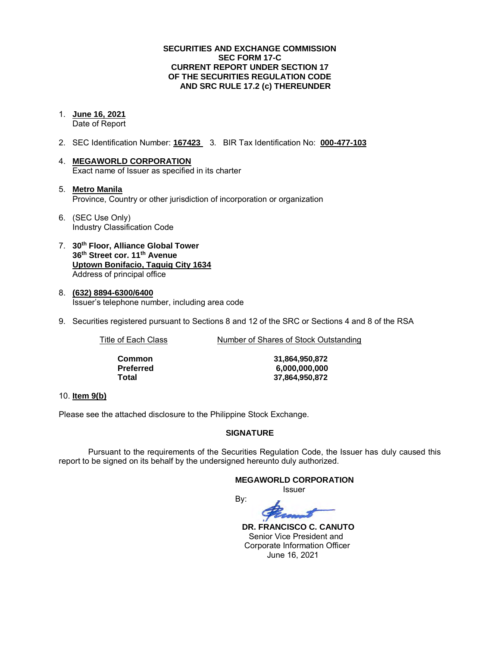### **SECURITIES AND EXCHANGE COMMISSION SEC FORM 17-C CURRENT REPORT UNDER SECTION 17 OF THE SECURITIES REGULATION CODE AND SRC RULE 17.2 (c) THEREUNDER**

- 1. **June 16, 2021** Date of Report
- 2. SEC Identification Number: **167423** 3. BIR Tax Identification No: **000-477-103**
- 4. **MEGAWORLD CORPORATION**  Exact name of Issuer as specified in its charter
- 5. **Metro Manila** Province, Country or other jurisdiction of incorporation or organization
- 6. (SEC Use Only) Industry Classification Code
- 7. **30th Floor, Alliance Global Tower 36th Street cor. 11th Avenue Uptown Bonifacio, Taguig City 1634** Address of principal office
- 8. **(632) 8894-6300/6400**  Issuer's telephone number, including area code
- 9. Securities registered pursuant to Sections 8 and 12 of the SRC or Sections 4 and 8 of the RSA

Title of Each Class Number of Shares of Stock Outstanding

| Common    | 31,864,950,872 |
|-----------|----------------|
| Preferred | 6,000,000,000  |
| Total     | 37,864,950,872 |

### 10. **Item 9(b)**

Please see the attached disclosure to the Philippine Stock Exchange.

### **SIGNATURE**

Pursuant to the requirements of the Securities Regulation Code, the Issuer has duly caused this report to be signed on its behalf by the undersigned hereunto duly authorized.

### **MEGAWORLD CORPORATION**

*<u>Issuer</u> Issuer Issuer* 

By:

 **DR. FRANCISCO C. CANUTO**  Senior Vice President and Corporate Information Officer June 16, 2021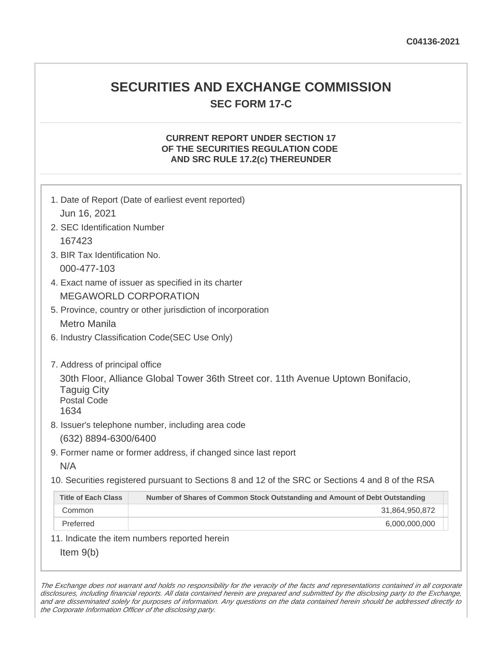## **SECURITIES AND EXCHANGE COMMISSION SEC FORM 17-C**

### **CURRENT REPORT UNDER SECTION 17 OF THE SECURITIES REGULATION CODE AND SRC RULE 17.2(c) THEREUNDER**

| Jun 16, 2021                                                                                                                         | 1. Date of Report (Date of earliest event reported)                         |  |
|--------------------------------------------------------------------------------------------------------------------------------------|-----------------------------------------------------------------------------|--|
| 2. SEC Identification Number                                                                                                         |                                                                             |  |
| 167423                                                                                                                               |                                                                             |  |
| 3. BIR Tax Identification No.                                                                                                        |                                                                             |  |
| 000-477-103                                                                                                                          |                                                                             |  |
|                                                                                                                                      | 4. Exact name of issuer as specified in its charter                         |  |
|                                                                                                                                      | <b>MEGAWORLD CORPORATION</b>                                                |  |
| 5. Province, country or other jurisdiction of incorporation                                                                          |                                                                             |  |
| <b>Metro Manila</b>                                                                                                                  |                                                                             |  |
| 6. Industry Classification Code(SEC Use Only)                                                                                        |                                                                             |  |
|                                                                                                                                      |                                                                             |  |
| 7. Address of principal office                                                                                                       |                                                                             |  |
| 30th Floor, Alliance Global Tower 36th Street cor. 11th Avenue Uptown Bonifacio,<br><b>Taguig City</b><br><b>Postal Code</b><br>1634 |                                                                             |  |
|                                                                                                                                      | 8. Issuer's telephone number, including area code                           |  |
| (632) 8894-6300/6400                                                                                                                 |                                                                             |  |
| 9. Former name or former address, if changed since last report                                                                       |                                                                             |  |
| N/A                                                                                                                                  |                                                                             |  |
| 10. Securities registered pursuant to Sections 8 and 12 of the SRC or Sections 4 and 8 of the RSA                                    |                                                                             |  |
| <b>Title of Each Class</b>                                                                                                           | Number of Shares of Common Stock Outstanding and Amount of Debt Outstanding |  |
| Common                                                                                                                               | 31,864,950,872                                                              |  |
| Preferred                                                                                                                            | 6,000,000,000                                                               |  |
| 11. Indicate the item numbers reported herein                                                                                        |                                                                             |  |
| Item $9(b)$                                                                                                                          |                                                                             |  |

The Exchange does not warrant and holds no responsibility for the veracity of the facts and representations contained in all corporate disclosures, including financial reports. All data contained herein are prepared and submitted by the disclosing party to the Exchange, and are disseminated solely for purposes of information. Any questions on the data contained herein should be addressed directly to the Corporate Information Officer of the disclosing party.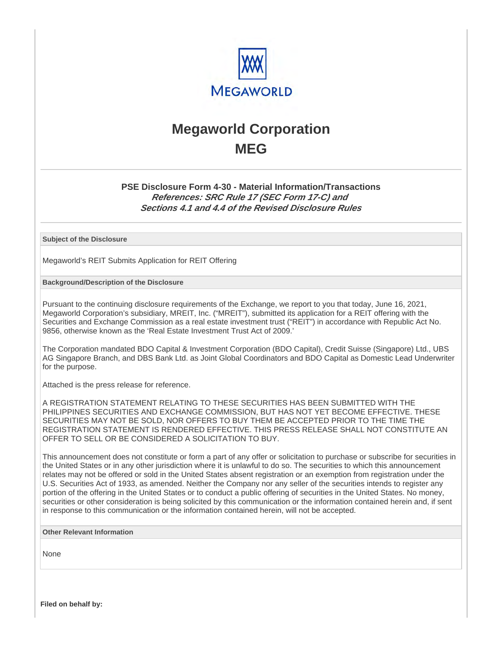

# **Megaworld Corporation MEG**

### **PSE Disclosure Form 4-30 - Material Information/Transactions References: SRC Rule 17 (SEC Form 17-C) and Sections 4.1 and 4.4 of the Revised Disclosure Rules**

**Subject of the Disclosure**

Megaworld's REIT Submits Application for REIT Offering

**Background/Description of the Disclosure**

Pursuant to the continuing disclosure requirements of the Exchange, we report to you that today, June 16, 2021, Megaworld Corporation's subsidiary, MREIT, Inc. ("MREIT"), submitted its application for a REIT offering with the Securities and Exchange Commission as a real estate investment trust ("REIT") in accordance with Republic Act No. 9856, otherwise known as the 'Real Estate Investment Trust Act of 2009.'

The Corporation mandated BDO Capital & Investment Corporation (BDO Capital), Credit Suisse (Singapore) Ltd., UBS AG Singapore Branch, and DBS Bank Ltd. as Joint Global Coordinators and BDO Capital as Domestic Lead Underwriter for the purpose.

Attached is the press release for reference.

A REGISTRATION STATEMENT RELATING TO THESE SECURITIES HAS BEEN SUBMITTED WITH THE PHILIPPINES SECURITIES AND EXCHANGE COMMISSION, BUT HAS NOT YET BECOME EFFECTIVE. THESE SECURITIES MAY NOT BE SOLD, NOR OFFERS TO BUY THEM BE ACCEPTED PRIOR TO THE TIME THE REGISTRATION STATEMENT IS RENDERED EFFECTIVE. THIS PRESS RELEASE SHALL NOT CONSTITUTE AN OFFER TO SELL OR BE CONSIDERED A SOLICITATION TO BUY.

This announcement does not constitute or form a part of any offer or solicitation to purchase or subscribe for securities in the United States or in any other jurisdiction where it is unlawful to do so. The securities to which this announcement relates may not be offered or sold in the United States absent registration or an exemption from registration under the U.S. Securities Act of 1933, as amended. Neither the Company nor any seller of the securities intends to register any portion of the offering in the United States or to conduct a public offering of securities in the United States. No money, securities or other consideration is being solicited by this communication or the information contained herein and, if sent in response to this communication or the information contained herein, will not be accepted.

**Other Relevant Information**

None

**Filed on behalf by:**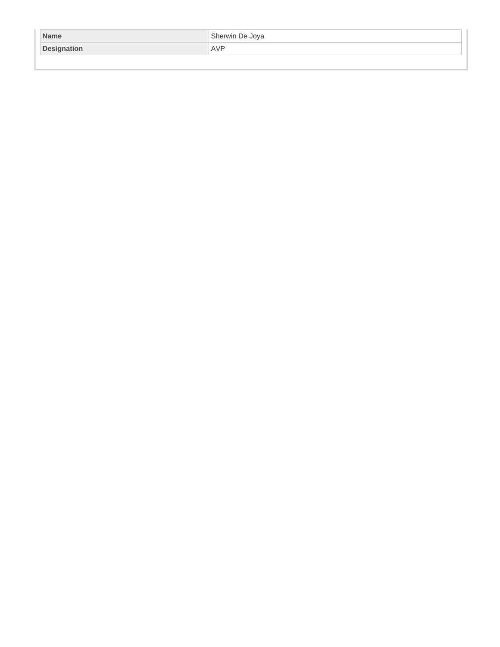| <b>Name</b> | Sherwin De Joya |
|-------------|-----------------|
| Designation | <b>AVP</b>      |
|             |                 |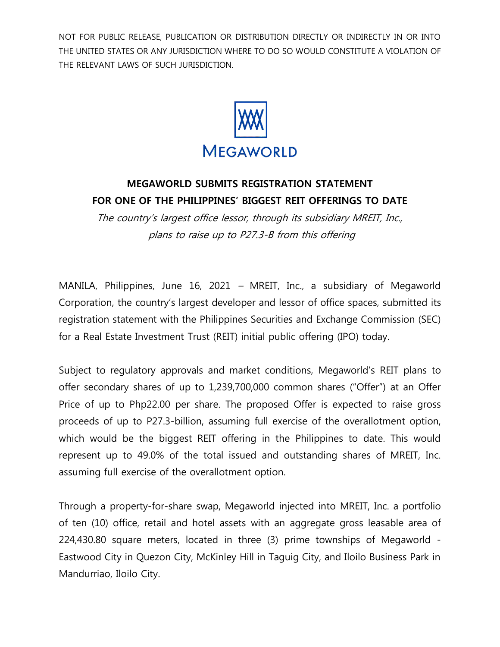NOT FOR PUBLIC RELEASE, PUBLICATION OR DISTRIBUTION DIRECTLY OR INDIRECTLY IN OR INTO THE UNITED STATES OR ANY JURISDICTION WHERE TO DO SO WOULD CONSTITUTE A VIOLATION OF THE RELEVANT LAWS OF SUCH JURISDICTION.



### **MEGAWORLD SUBMITS REGISTRATION STATEMENT FOR ONE OF THE PHILIPPINES' BIGGEST REIT OFFERINGS TO DATE**

The country's largest office lessor, through its subsidiary MREIT, Inc., plans to raise up to P27.3-B from this offering

MANILA, Philippines, June 16, 2021 – MREIT, Inc., a subsidiary of Megaworld Corporation, the country's largest developer and lessor of office spaces, submitted its registration statement with the Philippines Securities and Exchange Commission (SEC) for a Real Estate Investment Trust (REIT) initial public offering (IPO) today.

Subject to regulatory approvals and market conditions, Megaworld's REIT plans to offer secondary shares of up to 1,239,700,000 common shares ("Offer") at an Offer Price of up to Php22.00 per share. The proposed Offer is expected to raise gross proceeds of up to P27.3-billion, assuming full exercise of the overallotment option, which would be the biggest REIT offering in the Philippines to date. This would represent up to 49.0% of the total issued and outstanding shares of MREIT, Inc. assuming full exercise of the overallotment option.

Through a property-for-share swap, Megaworld injected into MREIT, Inc. a portfolio of ten (10) office, retail and hotel assets with an aggregate gross leasable area of 224,430.80 square meters, located in three (3) prime townships of Megaworld - Eastwood City in Quezon City, McKinley Hill in Taguig City, and Iloilo Business Park in Mandurriao, Iloilo City.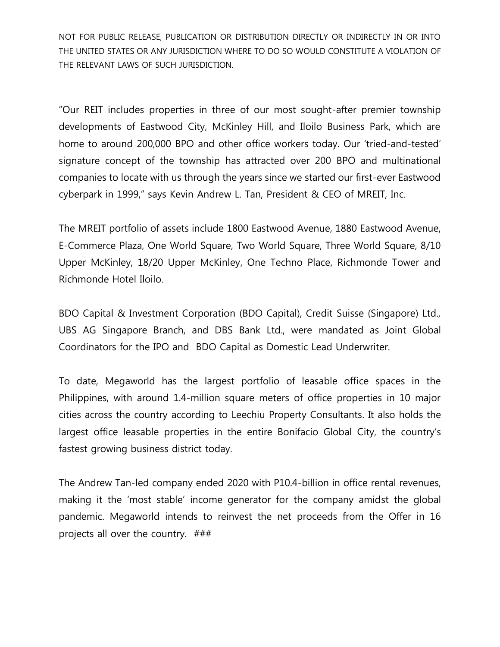NOT FOR PUBLIC RELEASE, PUBLICATION OR DISTRIBUTION DIRECTLY OR INDIRECTLY IN OR INTO THE UNITED STATES OR ANY JURISDICTION WHERE TO DO SO WOULD CONSTITUTE A VIOLATION OF THE RELEVANT LAWS OF SUCH JURISDICTION.

"Our REIT includes properties in three of our most sought-after premier township developments of Eastwood City, McKinley Hill, and Iloilo Business Park, which are home to around 200,000 BPO and other office workers today. Our 'tried-and-tested' signature concept of the township has attracted over 200 BPO and multinational companies to locate with us through the years since we started our first-ever Eastwood cyberpark in 1999," says Kevin Andrew L. Tan, President & CEO of MREIT, Inc.

The MREIT portfolio of assets include 1800 Eastwood Avenue, 1880 Eastwood Avenue, E-Commerce Plaza, One World Square, Two World Square, Three World Square, 8/10 Upper McKinley, 18/20 Upper McKinley, One Techno Place, Richmonde Tower and Richmonde Hotel Iloilo.

BDO Capital & Investment Corporation (BDO Capital), Credit Suisse (Singapore) Ltd., UBS AG Singapore Branch, and DBS Bank Ltd., were mandated as Joint Global Coordinators for the IPO and BDO Capital as Domestic Lead Underwriter.

To date, Megaworld has the largest portfolio of leasable office spaces in the Philippines, with around 1.4-million square meters of office properties in 10 major cities across the country according to Leechiu Property Consultants. It also holds the largest office leasable properties in the entire Bonifacio Global City, the country's fastest growing business district today.

The Andrew Tan-led company ended 2020 with P10.4-billion in office rental revenues, making it the 'most stable' income generator for the company amidst the global pandemic. Megaworld intends to reinvest the net proceeds from the Offer in 16 projects all over the country. ###